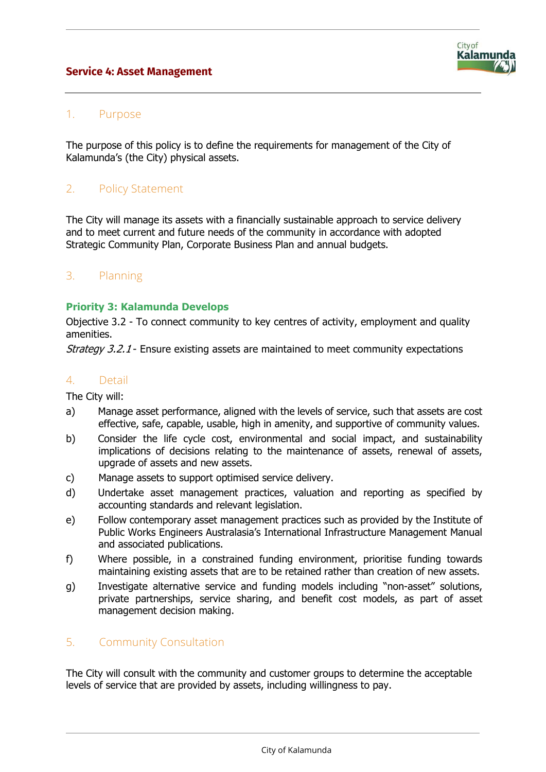## **Service 4: Asset Management**



## 1. Purpose

The purpose of this policy is to define the requirements for management of the City of Kalamunda's (the City) physical assets.

# 2. Policy Statement

The City will manage its assets with a financially sustainable approach to service delivery and to meet current and future needs of the community in accordance with adopted Strategic Community Plan, Corporate Business Plan and annual budgets.

## 3. Planning

### **Priority 3: Kalamunda Develops**

Objective 3.2 - To connect community to key centres of activity, employment and quality amenities.

Strategy 3.2.1 - Ensure existing assets are maintained to meet community expectations

#### 4. Detail

The City will:

- a) Manage asset performance, aligned with the levels of service, such that assets are cost effective, safe, capable, usable, high in amenity, and supportive of community values.
- b) Consider the life cycle cost, environmental and social impact, and sustainability implications of decisions relating to the maintenance of assets, renewal of assets, upgrade of assets and new assets.
- c) Manage assets to support optimised service delivery.
- d) Undertake asset management practices, valuation and reporting as specified by accounting standards and relevant legislation.
- e) Follow contemporary asset management practices such as provided by the Institute of Public Works Engineers Australasia's International Infrastructure Management Manual and associated publications.
- f) Where possible, in a constrained funding environment, prioritise funding towards maintaining existing assets that are to be retained rather than creation of new assets.
- g) Investigate alternative service and funding models including "non-asset" solutions, private partnerships, service sharing, and benefit cost models, as part of asset management decision making.

### 5. Community Consultation

The City will consult with the community and customer groups to determine the acceptable levels of service that are provided by assets, including willingness to pay.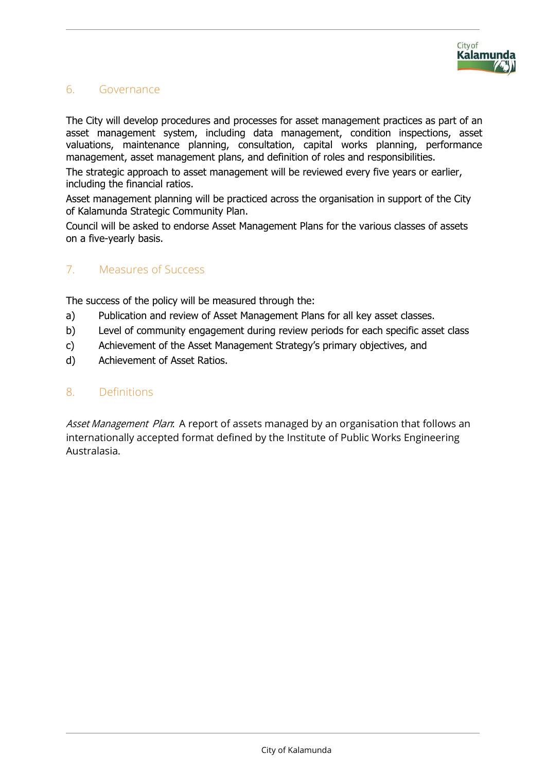# 6. Governance

The City will develop procedures and processes for asset management practices as part of an asset management system, including data management, condition inspections, asset valuations, maintenance planning, consultation, capital works planning, performance management, asset management plans, and definition of roles and responsibilities.

The strategic approach to asset management will be reviewed every five years or earlier, including the financial ratios.

Asset management planning will be practiced across the organisation in support of the City of Kalamunda Strategic Community Plan.

Council will be asked to endorse Asset Management Plans for the various classes of assets on a five-yearly basis.

# 7. Measures of Success

The success of the policy will be measured through the:

- a) Publication and review of Asset Management Plans for all key asset classes.
- b) Level of community engagement during review periods for each specific asset class
- c) Achievement of the Asset Management Strategy's primary objectives, and
- d) Achievement of Asset Ratios.

### 8. Definitions

Asset Management Plan: A report of assets managed by an organisation that follows an internationally accepted format defined by the Institute of Public Works Engineering Australasia.